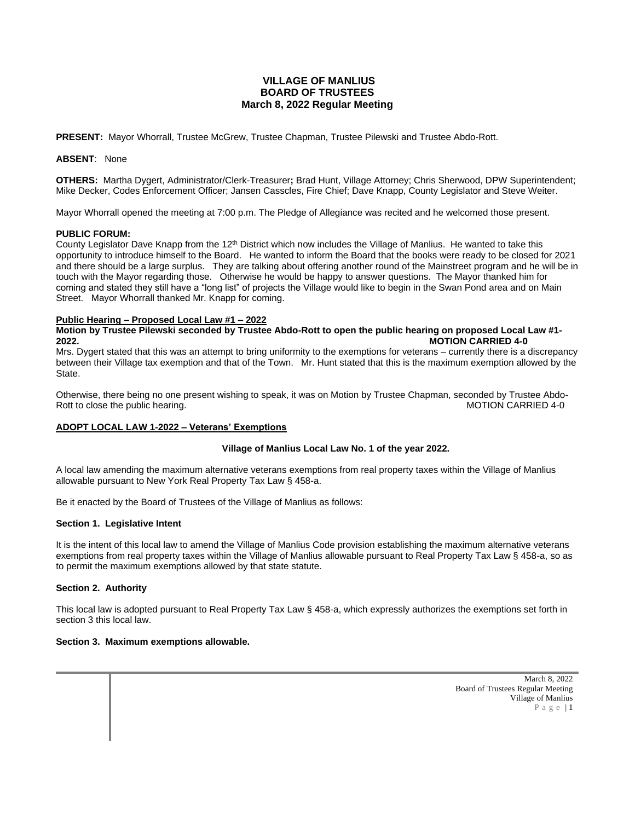# **VILLAGE OF MANLIUS BOARD OF TRUSTEES March 8, 2022 Regular Meeting**

**PRESENT:** Mayor Whorrall, Trustee McGrew, Trustee Chapman, Trustee Pilewski and Trustee Abdo-Rott.

#### **ABSENT**: None

**OTHERS:** Martha Dygert, Administrator/Clerk-Treasurer**;** Brad Hunt, Village Attorney; Chris Sherwood, DPW Superintendent; Mike Decker, Codes Enforcement Officer; Jansen Casscles, Fire Chief; Dave Knapp, County Legislator and Steve Weiter.

Mayor Whorrall opened the meeting at 7:00 p.m. The Pledge of Allegiance was recited and he welcomed those present.

#### **PUBLIC FORUM:**

County Legislator Dave Knapp from the 12<sup>th</sup> District which now includes the Village of Manlius. He wanted to take this opportunity to introduce himself to the Board. He wanted to inform the Board that the books were ready to be closed for 2021 and there should be a large surplus. They are talking about offering another round of the Mainstreet program and he will be in touch with the Mayor regarding those. Otherwise he would be happy to answer questions. The Mayor thanked him for coming and stated they still have a "long list" of projects the Village would like to begin in the Swan Pond area and on Main Street. Mayor Whorrall thanked Mr. Knapp for coming.

#### **Public Hearing – Proposed Local Law #1 – 2022**

**Motion by Trustee Pilewski seconded by Trustee Abdo-Rott to open the public hearing on proposed Local Law #1- 2022. MOTION CARRIED 4-0**

Mrs. Dygert stated that this was an attempt to bring uniformity to the exemptions for veterans – currently there is a discrepancy between their Village tax exemption and that of the Town. Mr. Hunt stated that this is the maximum exemption allowed by the State.

Otherwise, there being no one present wishing to speak, it was on Motion by Trustee Chapman, seconded by Trustee Abdo-Rott to close the public hearing.

## **ADOPT LOCAL LAW 1-2022 – Veterans' Exemptions**

## **Village of Manlius Local Law No. 1 of the year 2022.**

A local law amending the maximum alternative veterans exemptions from real property taxes within the Village of Manlius allowable pursuant to New York Real Property Tax Law § 458-a.

Be it enacted by the Board of Trustees of the Village of Manlius as follows:

#### **Section 1. Legislative Intent**

It is the intent of this local law to amend the Village of Manlius Code provision establishing the maximum alternative veterans exemptions from real property taxes within the Village of Manlius allowable pursuant to Real Property Tax Law § 458-a, so as to permit the maximum exemptions allowed by that state statute.

## **Section 2. Authority**

This local law is adopted pursuant to Real Property Tax Law § 458-a, which expressly authorizes the exemptions set forth in section 3 this local law.

#### **Section 3. Maximum exemptions allowable.**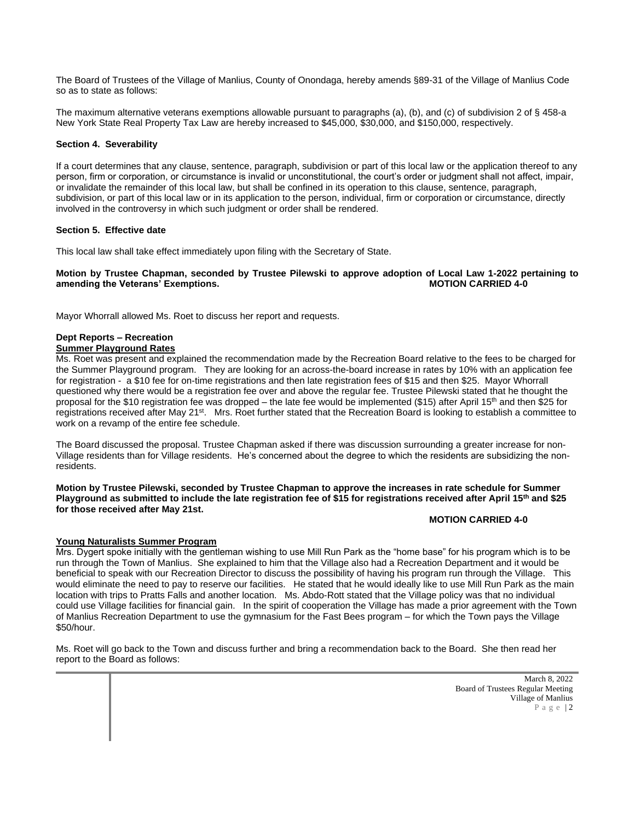The Board of Trustees of the Village of Manlius, County of Onondaga, hereby amends §89-31 of the Village of Manlius Code so as to state as follows:

The maximum alternative veterans exemptions allowable pursuant to paragraphs (a), (b), and (c) of subdivision 2 of § 458-a New York State Real Property Tax Law are hereby increased to \$45,000, \$30,000, and \$150,000, respectively.

#### **Section 4. Severability**

If a court determines that any clause, sentence, paragraph, subdivision or part of this local law or the application thereof to any person, firm or corporation, or circumstance is invalid or unconstitutional, the court's order or judgment shall not affect, impair, or invalidate the remainder of this local law, but shall be confined in its operation to this clause, sentence, paragraph, subdivision, or part of this local law or in its application to the person, individual, firm or corporation or circumstance, directly involved in the controversy in which such judgment or order shall be rendered.

#### **Section 5. Effective date**

This local law shall take effect immediately upon filing with the Secretary of State.

#### **Motion by Trustee Chapman, seconded by Trustee Pilewski to approve adoption of Local Law 1-2022 pertaining to amending the Veterans' Exemptions. MOTION CARRIED 4-0**

Mayor Whorrall allowed Ms. Roet to discuss her report and requests.

# **Dept Reports – Recreation**

# **Summer Playground Rates**

Ms. Roet was present and explained the recommendation made by the Recreation Board relative to the fees to be charged for the Summer Playground program. They are looking for an across-the-board increase in rates by 10% with an application fee for registration - a \$10 fee for on-time registrations and then late registration fees of \$15 and then \$25. Mayor Whorrall questioned why there would be a registration fee over and above the regular fee. Trustee Pilewski stated that he thought the proposal for the \$10 registration fee was dropped – the late fee would be implemented (\$15) after April 15<sup>th</sup> and then \$25 for registrations received after May 21<sup>st</sup>. Mrs. Roet further stated that the Recreation Board is looking to establish a committee to work on a revamp of the entire fee schedule.

The Board discussed the proposal. Trustee Chapman asked if there was discussion surrounding a greater increase for non-Village residents than for Village residents. He's concerned about the degree to which the residents are subsidizing the nonresidents.

**Motion by Trustee Pilewski, seconded by Trustee Chapman to approve the increases in rate schedule for Summer Playground as submitted to include the late registration fee of \$15 for registrations received after April 15th and \$25 for those received after May 21st.** 

## **MOTION CARRIED 4-0**

## **Young Naturalists Summer Program**

Mrs. Dygert spoke initially with the gentleman wishing to use Mill Run Park as the "home base" for his program which is to be run through the Town of Manlius. She explained to him that the Village also had a Recreation Department and it would be beneficial to speak with our Recreation Director to discuss the possibility of having his program run through the Village. This would eliminate the need to pay to reserve our facilities. He stated that he would ideally like to use Mill Run Park as the main location with trips to Pratts Falls and another location. Ms. Abdo-Rott stated that the Village policy was that no individual could use Village facilities for financial gain. In the spirit of cooperation the Village has made a prior agreement with the Town of Manlius Recreation Department to use the gymnasium for the Fast Bees program – for which the Town pays the Village \$50/hour.

Ms. Roet will go back to the Town and discuss further and bring a recommendation back to the Board. She then read her report to the Board as follows: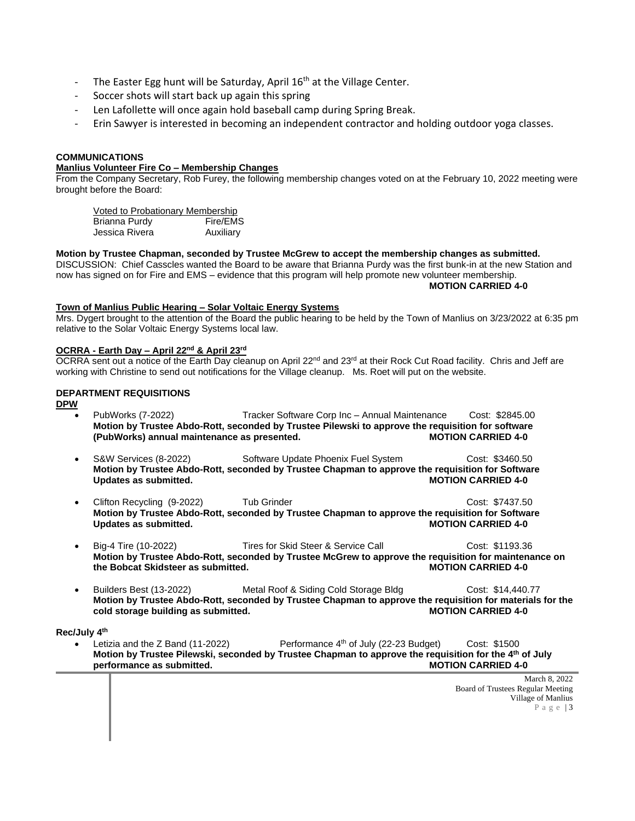- The Easter Egg hunt will be Saturday, April  $16<sup>th</sup>$  at the Village Center.
- Soccer shots will start back up again this spring
- Len Lafollette will once again hold baseball camp during Spring Break.
- Erin Sawyer is interested in becoming an independent contractor and holding outdoor yoga classes.

# **COMMUNICATIONS**

## **Manlius Volunteer Fire Co – Membership Changes**

From the Company Secretary, Rob Furey, the following membership changes voted on at the February 10, 2022 meeting were brought before the Board:

Voted to Probationary Membership Brianna Purdy Fire/EMS Jessica Rivera **Auxiliary** 

**Motion by Trustee Chapman, seconded by Trustee McGrew to accept the membership changes as submitted.**  DISCUSSION: Chief Casscles wanted the Board to be aware that Brianna Purdy was the first bunk-in at the new Station and now has signed on for Fire and EMS – evidence that this program will help promote new volunteer membership. **MOTION CARRIED 4-0**

# **Town of Manlius Public Hearing – Solar Voltaic Energy Systems**

Mrs. Dygert brought to the attention of the Board the public hearing to be held by the Town of Manlius on 3/23/2022 at 6:35 pm relative to the Solar Voltaic Energy Systems local law.

## **OCRRA - Earth Day – April 22nd & April 23rd**

OCRRA sent out a notice of the Earth Day cleanup on April  $22^{nd}$  and  $23^{rd}$  at their Rock Cut Road facility. Chris and Jeff are working with Christine to send out notifications for the Village cleanup. Ms. Roet will put on the website.

# **DEPARTMENT REQUISITIONS**

**DPW**

- PubWorks (7-2022) Tracker Software Corp Inc Annual Maintenance Cost: \$2845.00 **Motion by Trustee Abdo-Rott, seconded by Trustee Pilewski to approve the requisition for software (PubWorks) annual maintenance as presented. MOTION CARRIED 4-0**
- S&W Services (8-2022) Software Update Phoenix Fuel System Cost: \$3460.50 **Motion by Trustee Abdo-Rott, seconded by Trustee Chapman to approve the requisition for Software Updates** as submitted.
- Clifton Recycling (9-2022) Tub Grinder Cost: \$7437.50 **Motion by Trustee Abdo-Rott, seconded by Trustee Chapman to approve the requisition for Software Updates** as submitted.
- Big-4 Tire (10-2022) Tires for Skid Steer & Service Call Cost: \$1193.36 **Motion by Trustee Abdo-Rott, seconded by Trustee McGrew to approve the requisition for maintenance on the Bobcat Skidsteer as submitted.**
- Builders Best (13-2022) Metal Roof & Siding Cold Storage Bldg Cost: \$14,440.77 **Motion by Trustee Abdo-Rott, seconded by Trustee Chapman to approve the requisition for materials for the**  cold storage building as submitted.

**Rec/July 4th**

• Letizia and the Z Band (11-2022) Performance 4th of July (22-23 Budget) Cost: \$1500 **Motion by Trustee Pilewski, seconded by Trustee Chapman to approve the requisition for the 4th of July performance as submitted. MOTION CARRIED 4-0**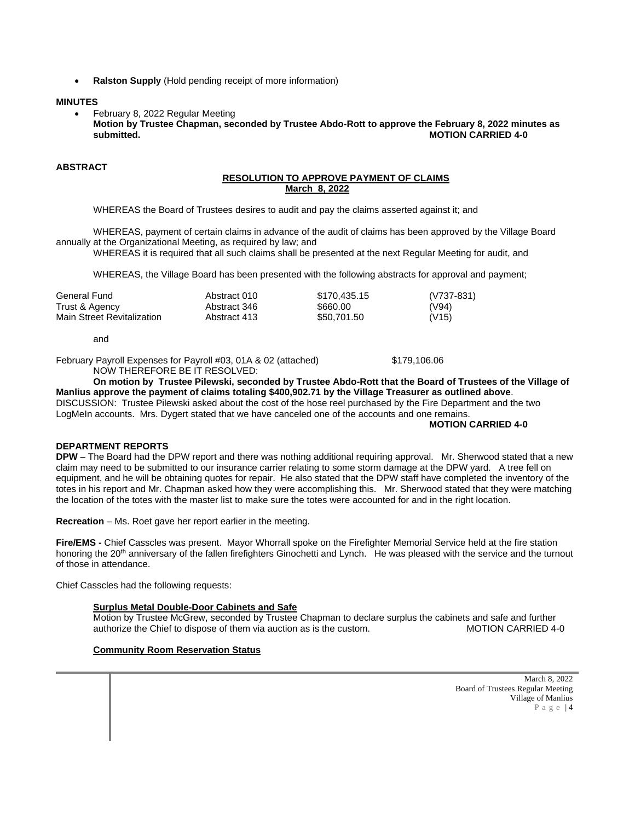• **Ralston Supply** (Hold pending receipt of more information)

#### **MINUTES**

• February 8, 2022 Regular Meeting **Motion by Trustee Chapman, seconded by Trustee Abdo-Rott to approve the February 8, 2022 minutes as submitted. MOTION CARRIED 4-0**

## **ABSTRACT**

### **RESOLUTION TO APPROVE PAYMENT OF CLAIMS March 8, 2022**

WHEREAS the Board of Trustees desires to audit and pay the claims asserted against it; and

WHEREAS, payment of certain claims in advance of the audit of claims has been approved by the Village Board annually at the Organizational Meeting, as required by law; and

WHEREAS it is required that all such claims shall be presented at the next Regular Meeting for audit, and

WHEREAS, the Village Board has been presented with the following abstracts for approval and payment;

| General Fund                                 | Abstract 010                 | \$170.435.15            | (V737-831)     |
|----------------------------------------------|------------------------------|-------------------------|----------------|
| Trust & Agency<br>Main Street Revitalization | Abstract 346<br>Abstract 413 | \$660.00<br>\$50,701.50 | (V94)<br>(V15) |

and

February Payroll Expenses for Payroll #03, 01A & 02 (attached) \$179,106.06

NOW THEREFORE BE IT RESOLVED:

**On motion by Trustee Pilewski, seconded by Trustee Abdo-Rott that the Board of Trustees of the Village of Manlius approve the payment of claims totaling \$400,902.71 by the Village Treasurer as outlined above**. DISCUSSION: Trustee Pilewski asked about the cost of the hose reel purchased by the Fire Department and the two LogMeIn accounts. Mrs. Dygert stated that we have canceled one of the accounts and one remains.

#### **MOTION CARRIED 4-0**

## **DEPARTMENT REPORTS**

**DPW** – The Board had the DPW report and there was nothing additional requiring approval. Mr. Sherwood stated that a new claim may need to be submitted to our insurance carrier relating to some storm damage at the DPW yard. A tree fell on equipment, and he will be obtaining quotes for repair. He also stated that the DPW staff have completed the inventory of the totes in his report and Mr. Chapman asked how they were accomplishing this. Mr. Sherwood stated that they were matching the location of the totes with the master list to make sure the totes were accounted for and in the right location.

**Recreation** – Ms. Roet gave her report earlier in the meeting.

**Fire/EMS -** Chief Casscles was present. Mayor Whorrall spoke on the Firefighter Memorial Service held at the fire station honoring the 20<sup>th</sup> anniversary of the fallen firefighters Ginochetti and Lynch. He was pleased with the service and the turnout of those in attendance.

Chief Casscles had the following requests:

## **Surplus Metal Double-Door Cabinets and Safe**

Motion by Trustee McGrew, seconded by Trustee Chapman to declare surplus the cabinets and safe and further authorize the Chief to dispose of them via auction as is the custom. MOTION CARRIED 4-0

# **Community Room Reservation Status**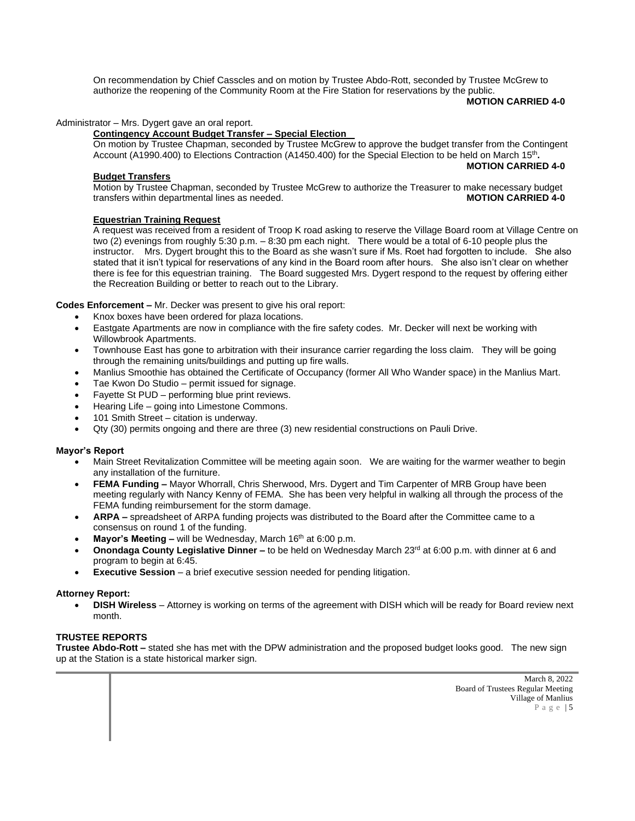On recommendation by Chief Casscles and on motion by Trustee Abdo-Rott, seconded by Trustee McGrew to authorize the reopening of the Community Room at the Fire Station for reservations by the public.

**MOTION CARRIED 4-0**

### Administrator – Mrs. Dygert gave an oral report.

#### **Contingency Account Budget Transfer – Special Election**

On motion by Trustee Chapman, seconded by Trustee McGrew to approve the budget transfer from the Contingent Account (A1990.400) to Elections Contraction (A1450.400) for the Special Election to be held on March 15<sup>th</sup>. **MOTION CARRIED 4-0**

#### **Budget Transfers**

Motion by Trustee Chapman, seconded by Trustee McGrew to authorize the Treasurer to make necessary budget transfers within departmental lines as needed. **MOTION CARRIED 4-0**

### **Equestrian Training Request**

A request was received from a resident of Troop K road asking to reserve the Village Board room at Village Centre on two (2) evenings from roughly 5:30 p.m. – 8:30 pm each night. There would be a total of 6-10 people plus the instructor. Mrs. Dygert brought this to the Board as she wasn't sure if Ms. Roet had forgotten to include. She also stated that it isn't typical for reservations of any kind in the Board room after hours. She also isn't clear on whether there is fee for this equestrian training. The Board suggested Mrs. Dygert respond to the request by offering either the Recreation Building or better to reach out to the Library.

**Codes Enforcement –** Mr. Decker was present to give his oral report:

- Knox boxes have been ordered for plaza locations.
- Eastgate Apartments are now in compliance with the fire safety codes. Mr. Decker will next be working with Willowbrook Apartments.
- Townhouse East has gone to arbitration with their insurance carrier regarding the loss claim. They will be going through the remaining units/buildings and putting up fire walls.
- Manlius Smoothie has obtained the Certificate of Occupancy (former All Who Wander space) in the Manlius Mart.
- Tae Kwon Do Studio permit issued for signage.
- Fayette St PUD performing blue print reviews.
- Hearing Life going into Limestone Commons.
- 101 Smith Street citation is underway.
- Qty (30) permits ongoing and there are three (3) new residential constructions on Pauli Drive.

## **Mayor's Report**

- Main Street Revitalization Committee will be meeting again soon. We are waiting for the warmer weather to begin any installation of the furniture.
- **FEMA Funding –** Mayor Whorrall, Chris Sherwood, Mrs. Dygert and Tim Carpenter of MRB Group have been meeting regularly with Nancy Kenny of FEMA. She has been very helpful in walking all through the process of the FEMA funding reimbursement for the storm damage.
- **ARPA –** spreadsheet of ARPA funding projects was distributed to the Board after the Committee came to a consensus on round 1 of the funding.
- **Mayor's Meeting –** will be Wednesday, March 16<sup>th</sup> at 6:00 p.m.
- **Onondaga County Legislative Dinner** to be held on Wednesday March 23<sup>rd</sup> at 6:00 p.m. with dinner at 6 and program to begin at 6:45.
- **Executive Session** a brief executive session needed for pending litigation.

#### **Attorney Report:**

• **DISH Wireless** – Attorney is working on terms of the agreement with DISH which will be ready for Board review next month.

## **TRUSTEE REPORTS**

**Trustee Abdo-Rott –** stated she has met with the DPW administration and the proposed budget looks good. The new sign up at the Station is a state historical marker sign.